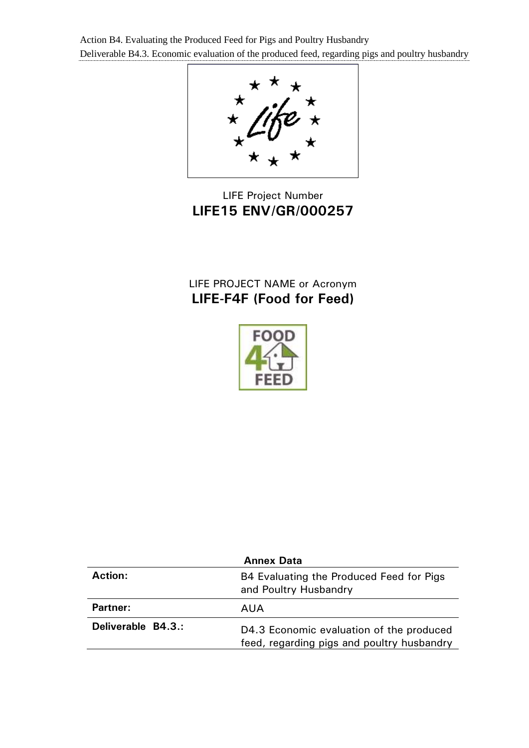

LIFE Project Number **LIFE15 ENV/GR/000257**

# LIFE PROJECT NAME or Acronym **LIFE-F4F (Food for Feed)**



| <b>Annex Data</b>  |                                                                                        |  |  |  |
|--------------------|----------------------------------------------------------------------------------------|--|--|--|
| <b>Action:</b>     | B4 Evaluating the Produced Feed for Pigs<br>and Poultry Husbandry                      |  |  |  |
| <b>Partner:</b>    | AUA                                                                                    |  |  |  |
| Deliverable B4.3.: | D4.3 Economic evaluation of the produced<br>feed, regarding pigs and poultry husbandry |  |  |  |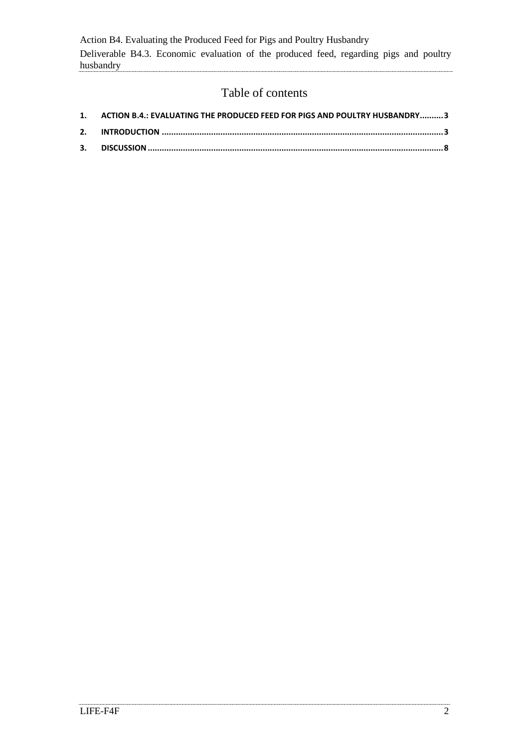## Table of contents

| 1. ACTION B.4.: EVALUATING THE PRODUCED FEED FOR PIGS AND POULTRY HUSBANDRY3 |  |
|------------------------------------------------------------------------------|--|
|                                                                              |  |
|                                                                              |  |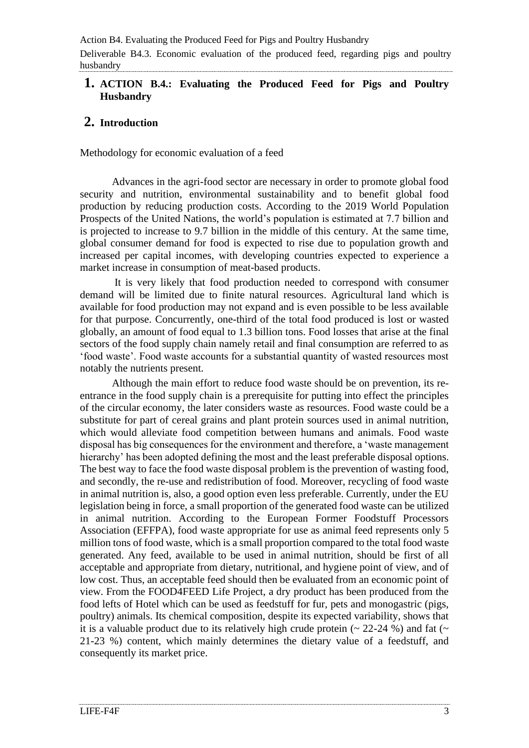Action B4. Evaluating the Produced Feed for Pigs and Poultry Husbandry

Deliverable B4.3. Economic evaluation of the produced feed, regarding pigs and poultry husbandry

#### <span id="page-2-0"></span>**1. ACTION B.4.: Evaluating the Produced Feed for Pigs and Poultry Husbandry**

#### <span id="page-2-1"></span>**2. Introduction**

Methodology for economic evaluation of a feed

 Advances in the agri-food sector are necessary in order to promote global food security and nutrition, environmental sustainability and to benefit global food production by reducing production costs. According to the 2019 World Population Prospects of the United Nations, the world's population is estimated at 7.7 billion and is projected to increase to 9.7 billion in the middle of this century. At the same time, global consumer demand for food is expected to rise due to population growth and increased per capital incomes, with developing countries expected to experience a market increase in consumption of meat-based products.

 It is very likely that food production needed to correspond with consumer demand will be limited due to finite natural resources. Agricultural land which is available for food production may not expand and is even possible to be less available for that purpose. Concurrently, one-third of the total food produced is lost or wasted globally, an amount of food equal to 1.3 billion tons. Food losses that arise at the final sectors of the food supply chain namely retail and final consumption are referred to as 'food waste'. Food waste accounts for a substantial quantity of wasted resources most notably the nutrients present.

 Although the main effort to reduce food waste should be on prevention, its reentrance in the food supply chain is a prerequisite for putting into effect the principles of the circular economy, the later considers waste as resources. Food waste could be a substitute for part of cereal grains and plant protein sources used in animal nutrition, which would alleviate food competition between humans and animals. Food waste disposal has big consequences for the environment and therefore, a 'waste management hierarchy' has been adopted defining the most and the least preferable disposal options. The best way to face the food waste disposal problem is the prevention of wasting food, and secondly, the re-use and redistribution of food. Moreover, recycling of food waste in animal nutrition is, also, a good option even less preferable. Currently, under the EU legislation being in force, a small proportion of the generated food waste can be utilized in animal nutrition. According to the European Former Foodstuff Processors Association (EFFPA), food waste appropriate for use as animal feed represents only 5 million tons of food waste, which is a small proportion compared to the total food waste generated. Any feed, available to be used in animal nutrition, should be first of all acceptable and appropriate from dietary, nutritional, and hygiene point of view, and of low cost. Thus, an acceptable feed should then be evaluated from an economic point of view. From the FOOD4FEED Life Project, a dry product has been produced from the food lefts of Hotel which can be used as feedstuff for fur, pets and monogastric (pigs, poultry) animals. Its chemical composition, despite its expected variability, shows that it is a valuable product due to its relatively high crude protein  $(22-24\%)$  and fat  $($ 21-23 %) content, which mainly determines the dietary value of a feedstuff, and consequently its market price.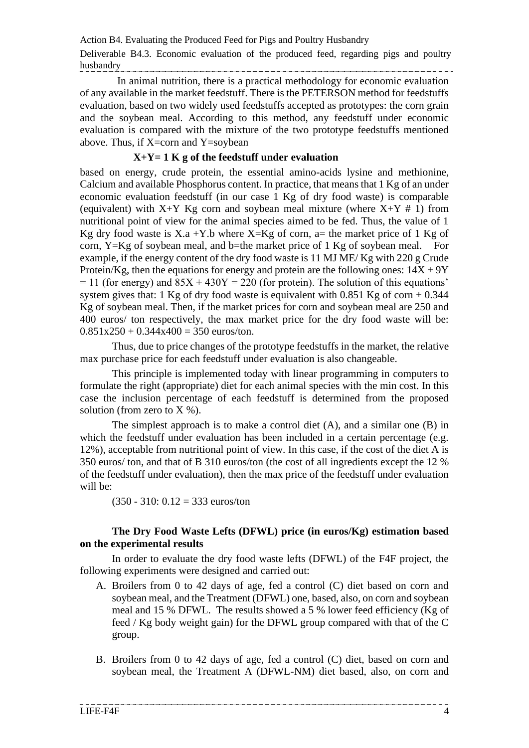In animal nutrition, there is a practical methodology for economic evaluation of any available in the market feedstuff. There is the PETERSON method for feedstuffs evaluation, based on two widely used feedstuffs accepted as prototypes: the corn grain and the soybean meal. According to this method, any feedstuff under economic evaluation is compared with the mixture of the two prototype feedstuffs mentioned above. Thus, if X=corn and Y=soybean

#### **X+Y= 1 K g of the feedstuff under evaluation**

based on energy, crude protein, the essential amino-acids lysine and methionine, Calcium and available Phosphorus content. In practice, that means that 1 Kg of an under economic evaluation feedstuff (in our case 1 Kg of dry food waste) is comparable (equivalent) with  $X+Y$  Kg corn and soybean meal mixture (where  $X+Y \# 1$ ) from nutritional point of view for the animal species aimed to be fed. Thus, the value of 1 Kg dry food waste is X.a +Y.b where  $X=Kg$  of corn, a= the market price of 1 Kg of corn, Y=Kg of soybean meal, and b=the market price of 1 Kg of soybean meal. For example, if the energy content of the dry food waste is 11 MJ ME/ Kg with 220 g Crude Protein/Kg, then the equations for energy and protein are the following ones:  $14X + 9Y$  $= 11$  (for energy) and  $85X + 430Y = 220$  (for protein). The solution of this equations' system gives that: 1 Kg of dry food waste is equivalent with  $0.851$  Kg of corn  $+0.344$ Kg of soybean meal. Then, if the market prices for corn and soybean meal are 250 and 400 euros/ ton respectively, the max market price for the dry food waste will be:  $0.851x250 + 0.344x400 = 350$  euros/ton.

Thus, due to price changes of the prototype feedstuffs in the market, the relative max purchase price for each feedstuff under evaluation is also changeable.

This principle is implemented today with linear programming in computers to formulate the right (appropriate) diet for each animal species with the min cost. In this case the inclusion percentage of each feedstuff is determined from the proposed solution (from zero to  $X$  %).

The simplest approach is to make a control diet (A), and a similar one (B) in which the feedstuff under evaluation has been included in a certain percentage (e.g. 12%), acceptable from nutritional point of view. In this case, if the cost of the diet A is 350 euros/ ton, and that of B 310 euros/ton (the cost of all ingredients except the 12 % of the feedstuff under evaluation), then the max price of the feedstuff under evaluation will be:

 $(350 - 310: 0.12 = 333$  euros/ton

#### **The Dry Food Waste Lefts (DFWL) price (in euros/Kg) estimation based on the experimental results**

In order to evaluate the dry food waste lefts (DFWL) of the F4F project, the following experiments were designed and carried out:

- A. Broilers from 0 to 42 days of age, fed a control (C) diet based on corn and soybean meal, and the Treatment (DFWL) one, based, also, on corn and soybean meal and 15 % DFWL. The results showed a 5 % lower feed efficiency (Kg of feed / Kg body weight gain) for the DFWL group compared with that of the C group.
- B. Broilers from 0 to 42 days of age, fed a control (C) diet, based on corn and soybean meal, the Treatment A (DFWL-NM) diet based, also, on corn and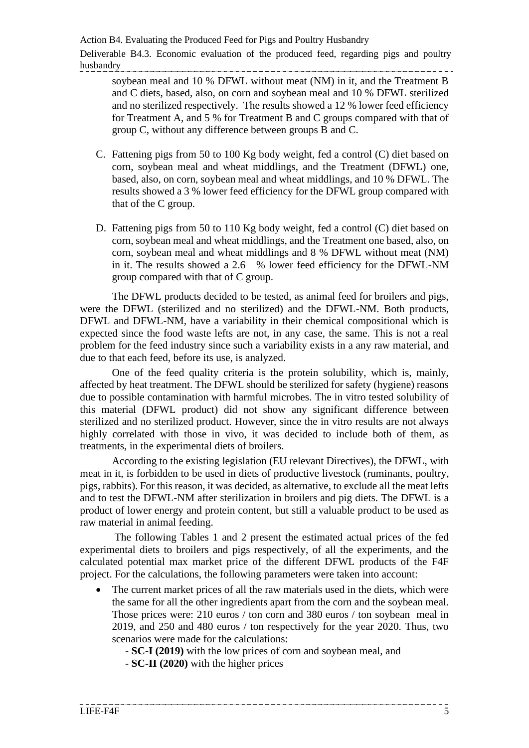soybean meal and 10 % DFWL without meat (NM) in it, and the Treatment B and C diets, based, also, on corn and soybean meal and 10 % DFWL sterilized and no sterilized respectively. The results showed a 12 % lower feed efficiency for Treatment A, and 5 % for Treatment B and C groups compared with that of group C, without any difference between groups B and C.

- C. Fattening pigs from 50 to 100 Kg body weight, fed a control (C) diet based on corn, soybean meal and wheat middlings, and the Treatment (DFWL) one, based, also, on corn, soybean meal and wheat middlings, and 10 % DFWL. The results showed a 3 % lower feed efficiency for the DFWL group compared with that of the C group.
- D. Fattening pigs from 50 to 110 Kg body weight, fed a control (C) diet based on corn, soybean meal and wheat middlings, and the Treatment one based, also, on corn, soybean meal and wheat middlings and 8 % DFWL without meat (NM) in it. The results showed a 2.6 % lower feed efficiency for the DFWL-NM group compared with that of C group.

 The DFWL products decided to be tested, as animal feed for broilers and pigs, were the DFWL (sterilized and no sterilized) and the DFWL-NM. Both products, DFWL and DFWL-NM, have a variability in their chemical compositional which is expected since the food waste lefts are not, in any case, the same. This is not a real problem for the feed industry since such a variability exists in a any raw material, and due to that each feed, before its use, is analyzed.

One of the feed quality criteria is the protein solubility, which is, mainly, affected by heat treatment. The DFWL should be sterilized for safety (hygiene) reasons due to possible contamination with harmful microbes. The in vitro tested solubility of this material (DFWL product) did not show any significant difference between sterilized and no sterilized product. However, since the in vitro results are not always highly correlated with those in vivo, it was decided to include both of them, as treatments, in the experimental diets of broilers.

According to the existing legislation (EU relevant Directives), the DFWL, with meat in it, is forbidden to be used in diets of productive livestock (ruminants, poultry, pigs, rabbits). For this reason, it was decided, as alternative, to exclude all the meat lefts and to test the DFWL-NM after sterilization in broilers and pig diets. The DFWL is a product of lower energy and protein content, but still a valuable product to be used as raw material in animal feeding.

The following Tables 1 and 2 present the estimated actual prices of the fed experimental diets to broilers and pigs respectively, of all the experiments, and the calculated potential max market price of the different DFWL products of the F4F project. For the calculations, the following parameters were taken into account:

- The current market prices of all the raw materials used in the diets, which were the same for all the other ingredients apart from the corn and the soybean meal. Those prices were: 210 euros / ton corn and 380 euros / ton soybean meal in 2019, and 250 and 480 euros / ton respectively for the year 2020. Thus, two scenarios were made for the calculations:
	- **SC-I (2019)** with the low prices of corn and soybean meal, and
	- **SC-II (2020)** with the higher prices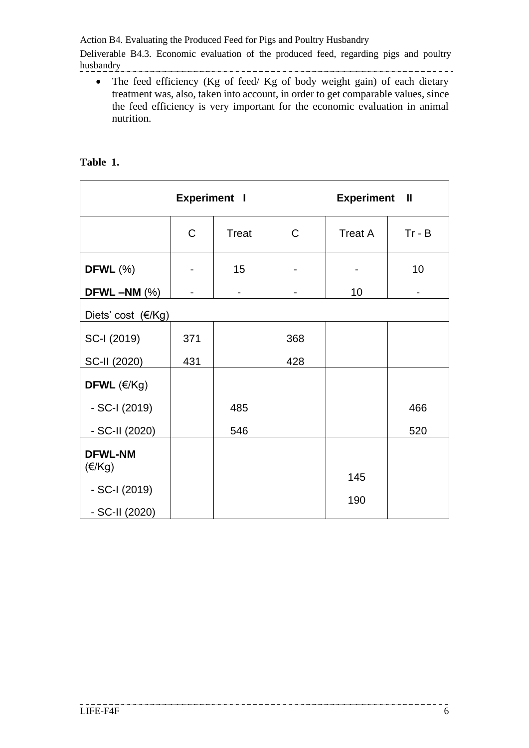Action B4. Evaluating the Produced Feed for Pigs and Poultry Husbandry

Deliverable B4.3. Economic evaluation of the produced feed, regarding pigs and poultry husbandry

• The feed efficiency (Kg of feed/ Kg of body weight gain) of each dietary treatment was, also, taken into account, in order to get comparable values, since the feed efficiency is very important for the economic evaluation in animal nutrition.

| <b>Experiment I</b>                |             |              | <b>Experiment II</b> |                |                |  |  |
|------------------------------------|-------------|--------------|----------------------|----------------|----------------|--|--|
|                                    | $\mathsf C$ | <b>Treat</b> | $\mathsf{C}$         | <b>Treat A</b> | $Tr - B$       |  |  |
| DFWL $(\%)$                        |             | 15           |                      |                | 10             |  |  |
| DFWL $-MM$ (%)                     |             |              |                      | 10             | $\overline{a}$ |  |  |
| Diets' cost (€/Kg)                 |             |              |                      |                |                |  |  |
| SC-I (2019)                        | 371         |              | 368                  |                |                |  |  |
| SC-II (2020)                       | 431         |              | 428                  |                |                |  |  |
| DFWL $(\epsilon/Kg)$               |             |              |                      |                |                |  |  |
| $-SC-I (2019)$                     |             | 485          |                      |                | 466            |  |  |
| - SC-II (2020)                     |             | 546          |                      |                | 520            |  |  |
| <b>DFWL-NM</b><br>$(\epsilon$ /Kg) |             |              |                      | 145            |                |  |  |
| $-SC-I (2019)$                     |             |              |                      |                |                |  |  |
| - SC-II (2020)                     |             |              |                      | 190            |                |  |  |

### **Table 1.**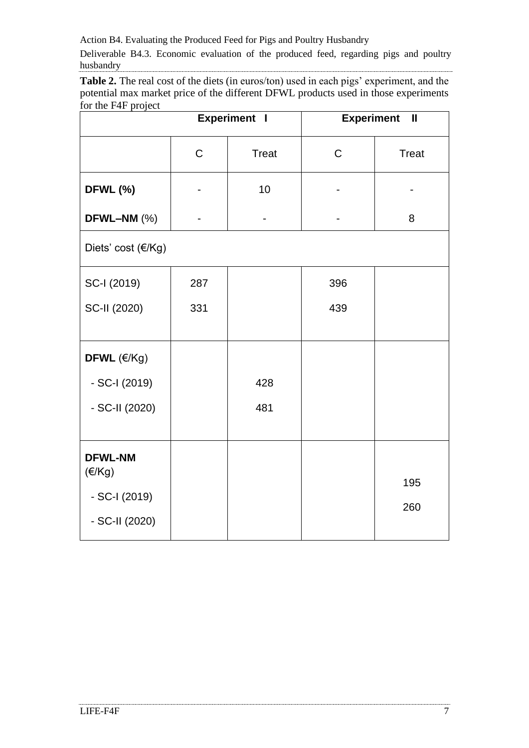Action B4. Evaluating the Produced Feed for Pigs and Poultry Husbandry

Deliverable B4.3. Economic evaluation of the produced feed, regarding pigs and poultry husbandry

**Table 2.** The real cost of the diets (in euros/ton) used in each pigs' experiment, and the potential max market price of the different DFWL products used in those experiments for the F4F project

|                          | <b>Experiment I</b> |              | <b>Experiment</b><br>$\mathbf{I}$ |              |  |  |
|--------------------------|---------------------|--------------|-----------------------------------|--------------|--|--|
|                          | $\mathsf C$         | <b>Treat</b> | $\mathsf C$                       | <b>Treat</b> |  |  |
| <b>DFWL (%)</b>          |                     | 10           |                                   |              |  |  |
| DFWL-NM (%)              |                     |              |                                   | 8            |  |  |
| Diets' cost (€/Kg)       |                     |              |                                   |              |  |  |
| SC-I (2019)              | 287                 |              | 396                               |              |  |  |
| SC-II (2020)             | 331                 |              | 439                               |              |  |  |
|                          |                     |              |                                   |              |  |  |
| DFWL $(\text{E/Kg})$     |                     |              |                                   |              |  |  |
| - SC-I (2019)            |                     | 428          |                                   |              |  |  |
| - SC-II (2020)           |                     | 481          |                                   |              |  |  |
|                          |                     |              |                                   |              |  |  |
| <b>DFWL-NM</b><br>(E/Kg) |                     |              |                                   |              |  |  |
| - SC-I (2019)            |                     |              |                                   | 195<br>260   |  |  |
| - SC-II (2020)           |                     |              |                                   |              |  |  |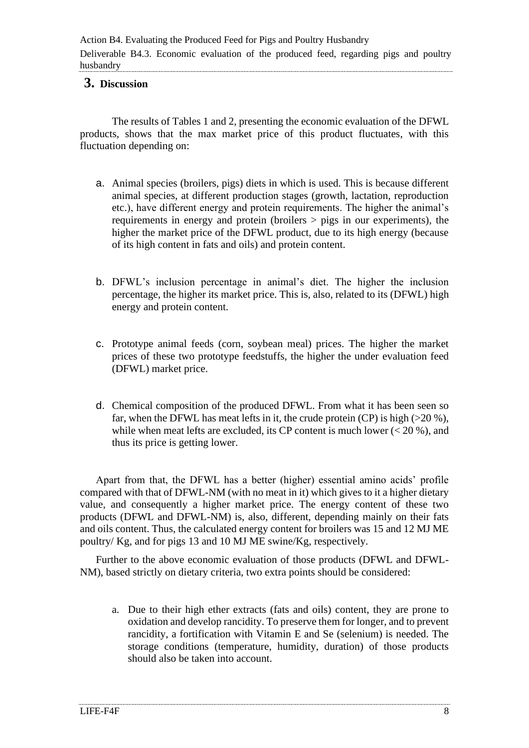#### <span id="page-7-0"></span>**3. Discussion**

 The results of Tables 1 and 2, presenting the economic evaluation of the DFWL products, shows that the max market price of this product fluctuates, with this fluctuation depending on:

- a. Animal species (broilers, pigs) diets in which is used. This is because different animal species, at different production stages (growth, lactation, reproduction etc.), have different energy and protein requirements. The higher the animal's requirements in energy and protein (broilers > pigs in our experiments), the higher the market price of the DFWL product, due to its high energy (because of its high content in fats and oils) and protein content.
- b. DFWL's inclusion percentage in animal's diet. The higher the inclusion percentage, the higher its market price. This is, also, related to its (DFWL) high energy and protein content.
- c. Prototype animal feeds (corn, soybean meal) prices. The higher the market prices of these two prototype feedstuffs, the higher the under evaluation feed (DFWL) market price.
- d. Chemical composition of the produced DFWL. From what it has been seen so far, when the DFWL has meat lefts in it, the crude protein (CP) is high  $(>20\%)$ , while when meat lefts are excluded, its CP content is much lower  $(< 20\%$ ), and thus its price is getting lower.

Apart from that, the DFWL has a better (higher) essential amino acids' profile compared with that of DFWL-NM (with no meat in it) which gives to it a higher dietary value, and consequently a higher market price. The energy content of these two products (DFWL and DFWL-NM) is, also, different, depending mainly on their fats and oils content. Thus, the calculated energy content for broilers was 15 and 12 MJ ME poultry/ Kg, and for pigs 13 and 10 MJ ME swine/Kg, respectively.

Further to the above economic evaluation of those products (DFWL and DFWL-NM), based strictly on dietary criteria, two extra points should be considered:

a. Due to their high ether extracts (fats and oils) content, they are prone to oxidation and develop rancidity. To preserve them for longer, and to prevent rancidity, a fortification with Vitamin E and Se (selenium) is needed. The storage conditions (temperature, humidity, duration) of those products should also be taken into account.